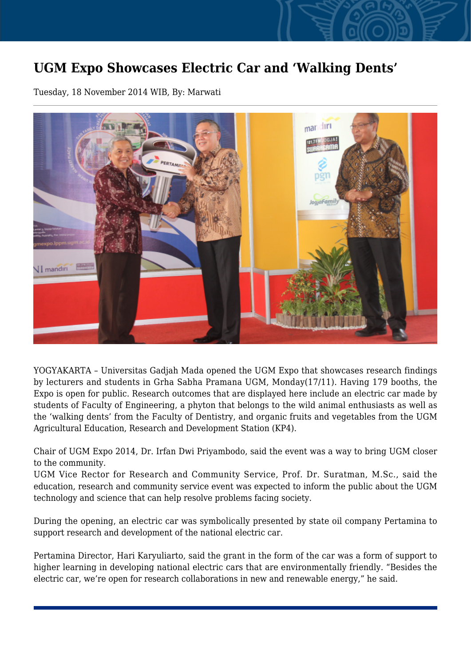## **UGM Expo Showcases Electric Car and 'Walking Dents'**

Tuesday, 18 November 2014 WIB, By: Marwati



YOGYAKARTA – Universitas Gadjah Mada opened the UGM Expo that showcases research findings by lecturers and students in Grha Sabha Pramana UGM, Monday(17/11). Having 179 booths, the Expo is open for public. Research outcomes that are displayed here include an electric car made by students of Faculty of Engineering, a phyton that belongs to the wild animal enthusiasts as well as the 'walking dents' from the Faculty of Dentistry, and organic fruits and vegetables from the UGM Agricultural Education, Research and Development Station (KP4).

Chair of UGM Expo 2014, Dr. Irfan Dwi Priyambodo, said the event was a way to bring UGM closer to the community.

UGM Vice Rector for Research and Community Service, Prof. Dr. Suratman, M.Sc., said the education, research and community service event was expected to inform the public about the UGM technology and science that can help resolve problems facing society.

During the opening, an electric car was symbolically presented by state oil company Pertamina to support research and development of the national electric car.

Pertamina Director, Hari Karyuliarto, said the grant in the form of the car was a form of support to higher learning in developing national electric cars that are environmentally friendly. "Besides the electric car, we're open for research collaborations in new and renewable energy," he said.